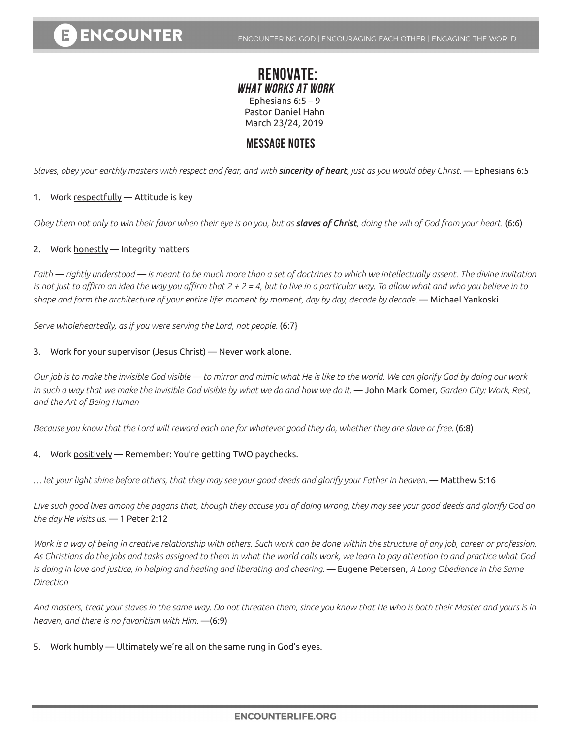## **RENOVATE: WHAT WORKS AT WORK** Ephesians 6:5 – 9 Pastor Daniel Hahn March 23/24, 2019

## **MESSAGE NOTES**

*Slaves, obey your earthly masters with respect and fear, and with sincerity of heart, just as you would obey Christ.* — Ephesians 6:5

#### 1. Work respectfully - Attitude is key

*Obey them not only to win their favor when their eye is on you, but as slaves of Christ, doing the will of God from your heart.* (6:6)

#### 2. Work honestly — Integrity matters

*Faith — rightly understood — is meant to be much more than a set of doctrines to which we intellectually assent. The divine invitation is not just to affirm an idea the way you affirm that 2 + 2 = 4, but to live in a particular way. To allow what and who you believe in to shape and form the architecture of your entire life: moment by moment, day by day, decade by decade.* — Michael Yankoski

*Serve wholeheartedly, as if you were serving the Lord, not people.* (6:7}

#### 3. Work for your supervisor (Jesus Christ) — Never work alone.

*Our job is to make the invisible God visible — to mirror and mimic what He is like to the world. We can glorify God by doing our work in such a way that we make the invisible God visible by what we do and how we do it.* ― John Mark Comer, *Garden City: Work, Rest, and the Art of Being Human*

*Because you know that the Lord will reward each one for whatever good they do, whether they are slave or free.* (6:8)

#### 4. Work positively — Remember: You're getting TWO paychecks.

*… let your light shine before others, that they may see your good deeds and glorify your Father in heaven.* — Matthew 5:16

*Live such good lives among the pagans that, though they accuse you of doing wrong, they may see your good deeds and glorify God on the day He visits us.* — 1 Peter 2:12

*Work is a way of being in creative relationship with others. Such work can be done within the structure of any job, career or profession. As Christians do the jobs and tasks assigned to them in what the world calls work, we learn to pay attention to and practice what God is doing in love and justice, in helping and healing and liberating and cheering.* — Eugene Petersen, *A Long Obedience in the Same Direction*

*And masters, treat your slaves in the same way. Do not threaten them, since you know that He who is both their Master and yours is in heaven, and there is no favoritism with Him.* —(6:9)

5. Work humbly — Ultimately we're all on the same rung in God's eyes.